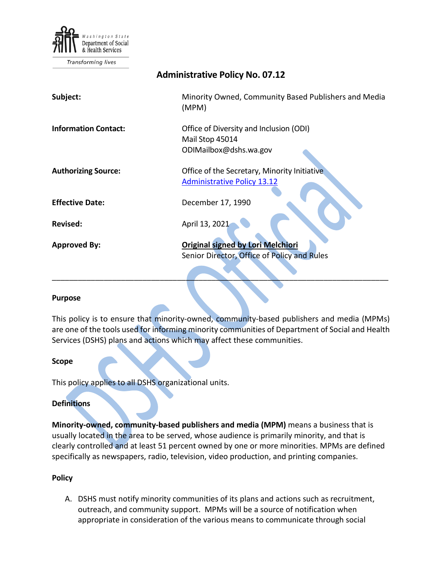

Transforming lives

| <b>Administrative Policy No. 07.12</b> |                                                                                         |
|----------------------------------------|-----------------------------------------------------------------------------------------|
| Subject:                               | Minority Owned, Community Based Publishers and Media<br>(MPM)                           |
| <b>Information Contact:</b>            | Office of Diversity and Inclusion (ODI)<br>Mail Stop 45014<br>ODIMailbox@dshs.wa.gov    |
| <b>Authorizing Source:</b>             | Office of the Secretary, Minority Initiative<br><b>Administrative Policy 13.12</b>      |
| <b>Effective Date:</b>                 | December 17, 1990                                                                       |
| Revised:                               | April 13, 2021                                                                          |
| <b>Approved By:</b>                    | <b>Original signed by Lori Melchiori</b><br>Senior Director, Office of Policy and Rules |

## **Purpose**

This policy is to ensure that minority-owned, community-based publishers and media (MPMs) are one of the tools used for informing minority communities of Department of Social and Health Services (DSHS) plans and actions which may affect these communities.

\_\_\_\_\_\_\_\_\_\_\_\_\_\_\_\_\_\_\_\_\_\_\_\_\_\_\_\_\_\_\_\_\_\_\_\_\_\_\_\_\_\_\_\_\_\_\_\_\_\_\_\_\_\_\_\_\_\_\_\_\_\_\_\_\_\_\_\_\_\_\_\_\_\_\_\_\_\_

## **Scope**

This policy applies to all DSHS organizational units.

## **Definitions**

**Minority-owned, community-based publishers and media (MPM)** means a business that is usually located in the area to be served, whose audience is primarily minority, and that is clearly controlled and at least 51 percent owned by one or more minorities. MPMs are defined specifically as newspapers, radio, television, video production, and printing companies.

## **Policy**

A. DSHS must notify minority communities of its plans and actions such as recruitment, outreach, and community support. MPMs will be a source of notification when appropriate in consideration of the various means to communicate through social